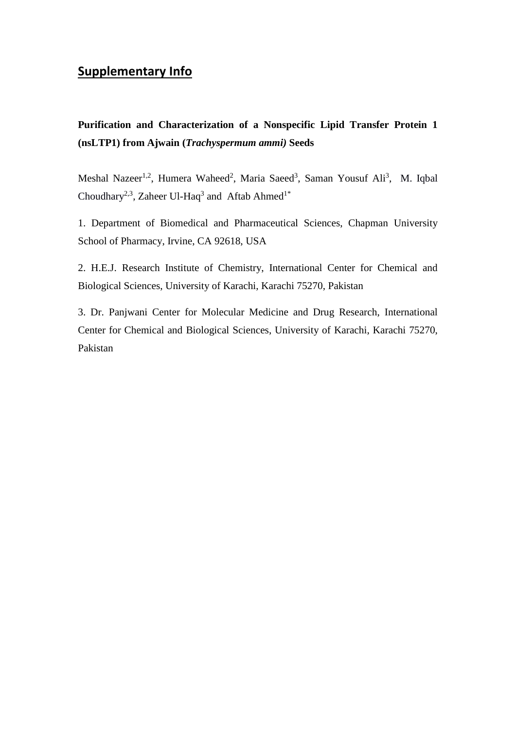## **Supplementary Info**

**Purification and Characterization of a Nonspecific Lipid Transfer Protein 1 (nsLTP1) from Ajwain (***Trachyspermum ammi)* **Seeds**

Meshal Nazeer<sup>1,2</sup>, Humera Waheed<sup>2</sup>, Maria Saeed<sup>3</sup>, Saman Yousuf Ali<sup>3</sup>, M. Iqbal [Choudhary](http://www.sciencedirect.com/science/article/pii/S0968089606003506)<sup>2,3</sup>, Zaheer Ul-Haq<sup>3</sup> and Aftab Ahmed<sup>1\*</sup>

1. Department of Biomedical and Pharmaceutical Sciences, Chapman University School of Pharmacy, Irvine, CA 92618, USA

2. H.E.J. Research Institute of Chemistry, International Center for Chemical and Biological Sciences, University of Karachi, Karachi 75270, Pakistan

3. Dr. Panjwani Center for Molecular Medicine and Drug Research, International Center for Chemical and Biological Sciences, University of Karachi, Karachi 75270, Pakistan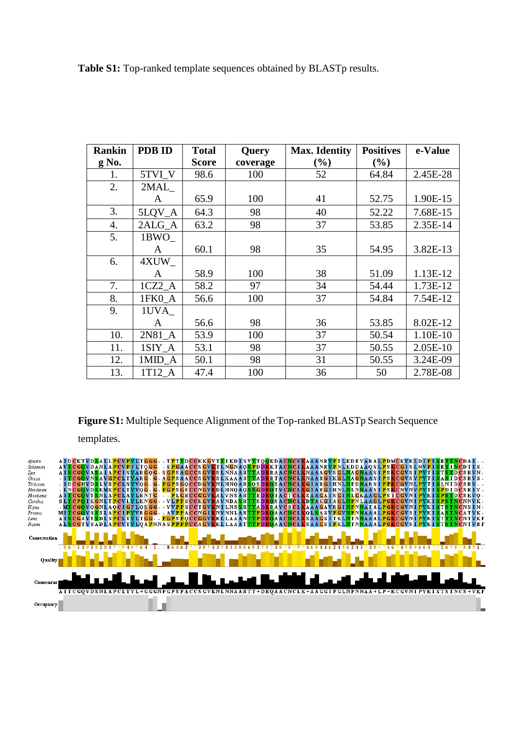**Table S1:** Top-ranked template sequences obtained by BLASTp results.

| <b>Rankin</b> | <b>PDB ID</b> | <b>Total</b> | Query    | <b>Max. Identity</b> | <b>Positives</b> | e-Value  |
|---------------|---------------|--------------|----------|----------------------|------------------|----------|
| $g$ No.       |               | <b>Score</b> | coverage | $(\%)$               | $(\%)$           |          |
| 1.            | 5TVI_V        | 98.6         | 100      | 52                   | 64.84            | 2.45E-28 |
| 2.            | 2MAL          |              |          |                      |                  |          |
|               | A             | 65.9         | 100      | 41                   | 52.75            | 1.90E-15 |
| 3.            | 5LQV_A        | 64.3         | 98       | 40                   | 52.22            | 7.68E-15 |
| 4.            | 2ALG_A        | 63.2         | 98       | 37                   | 53.85            | 2.35E-14 |
| 5.            | 1BWO          |              |          |                      |                  |          |
|               | A             | 60.1         | 98       | 35                   | 54.95            | 3.82E-13 |
| 6.            | 4XUW          |              |          |                      |                  |          |
|               | A             | 58.9         | 100      | 38                   | 51.09            | 1.13E-12 |
| 7.            | $1CZ2_A$      | 58.2         | 97       | 34                   | 54.44            | 1.73E-12 |
| 8.            | 1FK0_A        | 56.6         | 100      | 37                   | 54.84            | 7.54E-12 |
| 9.            | 1UVA          |              |          |                      |                  |          |
|               | A             | 56.6         | 98       | 36                   | 53.85            | 8.02E-12 |
| 10.           | $2N81_A$      | 53.9         | 100      | 37                   | 50.54            | 1.10E-10 |
| 11.           | 1SIY A        | 53.1         | 98       | 37                   | 50.55            | 2.05E-10 |
| 12.           | $1$ MID_A     | 50.1         | 98       | 31                   | 50.55            | 3.24E-09 |
| 13.           | 1T12 A        | 47.4         | 100      | 36                   | 50               | 2.78E-08 |

**Figure S1:** Multiple Sequence Alignment of the Top-ranked BLASTp Search Sequence

templates.